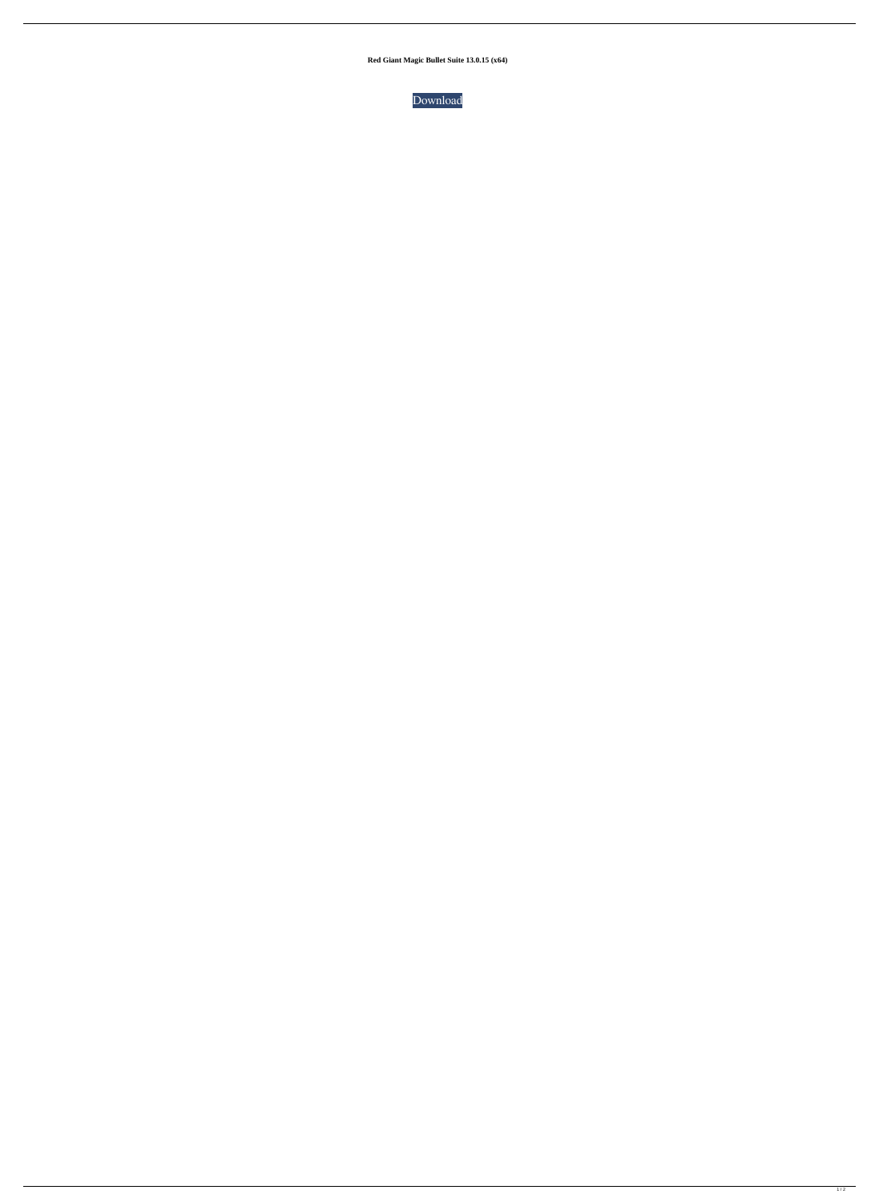**Red Giant Magic Bullet Suite 13.0.15 (x64)**